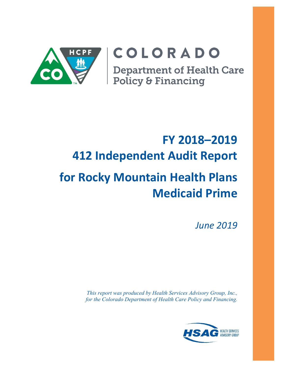

# COLORADO

**Department of Health Care<br>Policy & Financing** 

## **FY 2018–2019 412 Independent Audit Report for Rocky Mountain Health Plans Medicaid Prime**

*June 2019*

*This report was produced by Health Services Advisory Group, Inc., for the Colorado Department of Health Care Policy and Financing.*

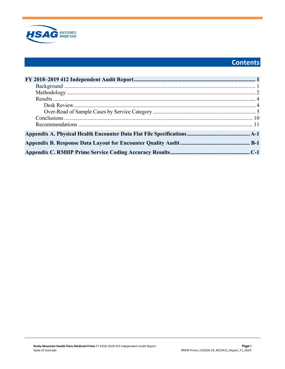

## Contents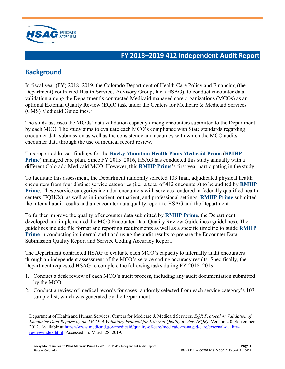

## <span id="page-2-0"></span>**FY 2018–2019 412 Independent Audit Report**

## <span id="page-2-1"></span>**Background**

In fiscal year (FY) 2018–2019, the Colorado Department of Health Care Policy and Financing (the Department) contracted Health Services Advisory Group, Inc. (HSAG), to conduct encounter data validation among the Department's contracted Medicaid managed care organizations (MCOs) as an optional External Quality Review (EQR) task under the Centers for Medicare & Medicaid Services (CMS) Medicaid Guidelines.<sup>[1](#page-2-2)</sup>

The study assesses the MCOs' data validation capacity among encounters submitted to the Department by each MCO. The study aims to evaluate each MCO's compliance with State standards regarding encounter data submission as well as the consistency and accuracy with which the MCO audits encounter data through the use of medical record review.

This report addresses findings for the **Rocky Mountain Health Plans Medicaid Prime** (**RMHP Prime**) managed care plan. Since FY 2015–2016, HSAG has conducted this study annually with a different Colorado Medicaid MCO. However, this **RMHP Prime**'s first year participating in the study.

To facilitate this assessment, the Department randomly selected 103 final, adjudicated physical health encounters from four distinct service categories (i.e., a total of 412 encounters) to be audited by **RMHP Prime**. These service categories included encounters with services rendered in federally qualified health centers (FQHCs), as well as in inpatient, outpatient, and professional settings. **RMHP Prime** submitted the internal audit results and an encounter data quality report to HSAG and the Department.

To further improve the quality of encounter data submitted by **RMHP Prime**, the Department developed and implemented the MCO Encounter Data Quality Review Guidelines (guidelines). The guidelines include file format and reporting requirements as well as a specific timeline to guide **RMHP Prime** in conducting its internal audit and using the audit results to prepare the Encounter Data Submission Quality Report and Service Coding Accuracy Report.

The Department contracted HSAG to evaluate each MCO's capacity to internally audit encounters through an independent assessment of the MCO's service coding accuracy results. Specifically, the Department requested HSAG to complete the following tasks during FY 2018–2019:

- 1. Conduct a desk review of each MCO's audit process, including any audit documentation submitted by the MCO.
- 2. Conduct a review of medical records for cases randomly selected from each service category's 103 sample list, which was generated by the Department.

<span id="page-2-2"></span> $\overline{a}$ 1 Department of Health and Human Services, Centers for Medicare & Medicaid Services. *EQR Protocol 4: Validation of Encounter Data Reports by the MCO: A Voluntary Protocol for External Quality Review (EQR)*. Version 2.0. September 2012. Available at [https://www.medicaid.gov/medicaid/quality-of-care/medicaid-managed-care/external-quality](https://www.medicaid.gov/medicaid/quality-of-care/medicaid-managed-care/external-quality-review/index.html)[review/index.html.](https://www.medicaid.gov/medicaid/quality-of-care/medicaid-managed-care/external-quality-review/index.html) Accessed on: March 28, 2019.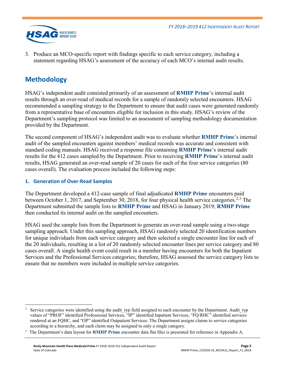

3. Produce an MCO-specific report with findings specific to each service category, including a statement regarding HSAG's assessment of the accuracy of each MCO's internal audit results.

## <span id="page-3-0"></span>**Methodology**

HSAG's independent audit consisted primarily of an assessment of **RMHP Prime**'s internal audit results through an over-read of medical records for a sample of randomly selected encounters. HSAG recommended a sampling strategy to the Department to ensure that audit cases were generated randomly from a representative base of encounters eligible for inclusion in this study. HSAG's review of the Department's sampling protocol was limited to an assessment of sampling methodology documentation provided by the Department.

The second component of HSAG's independent audit was to evaluate whether **RMHP Prime**'s internal audit of the sampled encounters against members' medical records was accurate and consistent with standard coding manuals. HSAG received a response file containing **RMHP Prime**'s internal audit results for the 412 cases sampled by the Department. Prior to receiving **RMHP Prime**'s internal audit results, HSAG generated an over-read sample of 20 cases for each of the four service categories (80 cases overall). The evaluation process included the following steps:

### **1. Generation of Over-Read Samples**

The Department developed a 412-case sample of final adjudicated **RMHP Prime** encounters paid between October 1, 2017, and September 30, 2018, for four physical health service categories.<sup>[2,](#page-3-1)[3](#page-3-2)</sup> The Department submitted the sample lists to **RMHP Prime** and HSAG in January 2019; **RMHP Prime** then conducted its internal audit on the sampled encounters.

HSAG used the sample lists from the Department to generate an over-read sample using a two-stage sampling approach. Under this sampling approach, HSAG randomly selected 20 identification numbers for unique individuals from each service category and then selected a single encounter line for each of the 20 individuals, resulting in a list of 20 randomly selected encounter lines per service category and 80 cases overall. A single health event could result in a member having encounters for both the Inpatient Services and the Professional Services categories; therefore, HSAG assessed the service category lists to ensure that no members were included in multiple service categories.

<span id="page-3-1"></span> $\overline{a}$ 2 Service categories were identified using the audit typ field assigned to each encounter by the Department. Audit typ values of "PROF" identified Professional Services, "IP" identified Inpatient Services, "FQ/RHC" identified services rendered at an FQHC, and "OP" identified Outpatient Services. The Department assigns claims to service categories according to a hierarchy, and each claim may be assigned to only a single category.

<span id="page-3-2"></span><sup>&</sup>lt;sup>3</sup> The Department's data layout for **RMHP Prime** encounter data flat files is presented for reference in Appendix A.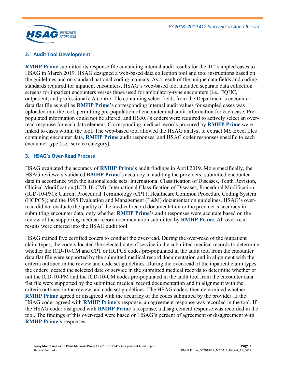

### **2. Audit Tool Development**

**RMHP Prime** submitted its response file containing internal audit results for the 412 sampled cases to HSAG in March 2019. HSAG designed a web-based data collection tool and tool instructions based on the guidelines and on standard national coding manuals. As a result of the unique data fields and coding standards required for inpatient encounters, HSAG's web-based tool included separate data collection screens for inpatient encounters versus those used for ambulatory-type encounters (i.e., FQHC, outpatient, and professional). A control file containing select fields from the Department's encounter data flat file as well as **RMHP Prime**'s corresponding internal audit values for sampled cases was uploaded into the tool, permitting pre-population of encounter and audit information for each case. Prepopulated information could not be altered, and HSAG's coders were required to actively select an overread response for each data element. Corresponding medical records procured by **RMHP Prime** were linked to cases within the tool. The web-based tool allowed the HSAG analyst to extract MS Excel files containing encounter data, **RMHP Prime** audit responses, and HSAG coder responses specific to each encounter type (i.e., service category).

### **3. HSAG's Over-Read Process**

HSAG evaluated the accuracy of **RMHP Prime**'s audit findings in April 2019. More specifically, the HSAG reviewers validated **RMHP Prime**'s accuracy in auditing the providers' submitted encounter data in accordance with the national code sets: International Classification of Diseases, Tenth Revision, Clinical Modification (ICD-10-CM); International Classification of Diseases, Procedural Modification (ICD-10-PM); Current Procedural Terminology (CPT); Healthcare Common Procedure Coding System (HCPCS); and the 1995 Evaluation and Management (E&M) documentation guidelines. HSAG's overread did not evaluate the quality of the medical record documentation or the provider's accuracy in submitting encounter data, only whether **RMHP Prime**'s audit responses were accurate based on the review of the supporting medical record documentation submitted by **RMHP Prime**. All over-read results were entered into the HSAG audit tool.

HSAG trained five certified coders to conduct the over-read. During the over-read of the outpatient claim types, the coders located the selected date of service in the submitted medical records to determine whether the ICD-10-CM and CPT or HCPCS codes pre-populated in the audit tool from the encounter data flat file were supported by the submitted medical record documentation and in alignment with the criteria outlined in the review and code set guidelines. During the over-read of the inpatient claim types the coders located the selected date of service in the submitted medical records to determine whether or not the ICD-10-PM and the ICD-10-CM codes pre-populated in the audit tool from the encounter data flat file were supported by the submitted medical record documentation and in alignment with the criteria outlined in the review and code set guidelines. The HSAG coders then determined whether **RMHP Prime** agreed or disagreed with the accuracy of the codes submitted by the provider. If the HSAG coder agreed with **RMHP Prime**'s response, an agreement response was recorded in the tool. If the HSAG coder disagreed with **RMHP Prime**'s response, a disagreement response was recorded in the tool. The findings of this over-read were based on HSAG's percent of agreement or disagreement with **RMHP Prime**'s responses.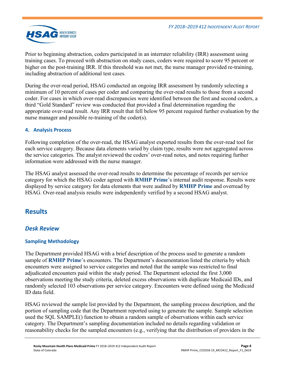

Prior to beginning abstraction, coders participated in an interrater reliability (IRR) assessment using training cases. To proceed with abstraction on study cases, coders were required to score 95 percent or higher on the post-training IRR. If this threshold was not met, the nurse manager provided re-training, including abstraction of additional test cases.

During the over-read period, HSAG conducted an ongoing IRR assessment by randomly selecting a minimum of 10 percent of cases per coder and comparing the over-read results to those from a second coder. For cases in which over-read discrepancies were identified between the first and second coders, a third "Gold Standard" review was conducted that provided a final determination regarding the appropriate over-read result. Any IRR result that fell below 95 percent required further evaluation by the nurse manager and possible re-training of the coder(s).

### **4. Analysis Process**

Following completion of the over-read, the HSAG analyst exported results from the over-read tool for each service category. Because data elements varied by claim type, results were not aggregated across the service categories. The analyst reviewed the coders' over-read notes, and notes requiring further information were addressed with the nurse manager.

The HSAG analyst assessed the over-read results to determine the percentage of records per service category for which the HSAG coder agreed with **RMHP Prime**'s internal audit response. Results were displayed by service category for data elements that were audited by **RMHP Prime** and overread by HSAG. Over-read analysis results were independently verified by a second HSAG analyst.

### <span id="page-5-0"></span>**Results**

### <span id="page-5-1"></span>*Desk Review*

### **Sampling Methodology**

The Department provided HSAG with a brief description of the process used to generate a random sample of **RMHP Prime**'s encounters. The Department's documentation listed the criteria by which encounters were assigned to service categories and noted that the sample was restricted to final adjudicated encounters paid within the study period. The Department selected the first 3,000 observations meeting the study criteria, deleted excess observations with duplicate Medicaid IDs, and randomly selected 103 observations per service category. Encounters were defined using the Medicaid ID data field.

HSAG reviewed the sample list provided by the Department, the sampling process description, and the portion of sampling code that the Department reported using to generate the sample. Sample selection used the SQL SAMPLE() function to obtain a random sample of observations within each service category. The Department's sampling documentation included no details regarding validation or reasonability checks for the sampled encounters (e.g., verifying that the distribution of providers in the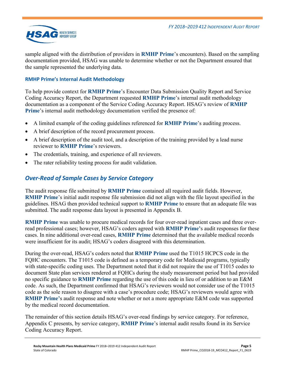

sample aligned with the distribution of providers in **RMHP Prime**'s encounters). Based on the sampling documentation provided, HSAG was unable to determine whether or not the Department ensured that the sample represented the underlying data.

### **RMHP Prime's Internal Audit Methodology**

To help provide context for **RMHP Prime**'s Encounter Data Submission Quality Report and Service Coding Accuracy Report, the Department requested **RMHP Prime**'s internal audit methodology documentation as a component of the Service Coding Accuracy Report. HSAG's review of **RMHP Prime**'s internal audit methodology documentation verified the presence of:

- A limited example of the coding guidelines referenced for **RMHP Prime**'s auditing process.
- A brief description of the record procurement process.
- A brief description of the audit tool, and a description of the training provided by a lead nurse reviewer to **RMHP Prime**'s reviewers.
- The credentials, training, and experience of all reviewers.
- <span id="page-6-0"></span>The rater reliability testing process for audit validation.

### *Over-Read of Sample Cases by Service Category*

The audit response file submitted by **RMHP Prime** contained all required audit fields. However, **RMHP Prime**'s initial audit response file submission did not align with the file layout specified in the guidelines. HSAG then provided technical support to **RMHP Prime** to ensure that an adequate file was submitted. The audit response data layout is presented in Appendix B.

**RMHP Prime** was unable to procure medical records for four over-read inpatient cases and three overread professional cases; however, HSAG's coders agreed with **RMHP Prime'**s audit responses for these cases. In nine additional over-read cases, **RMHP Prime** determined that the available medical records were insufficient for its audit; HSAG's coders disagreed with this determination.

During the over-read, HSAG's coders noted that **RMHP Prime** used the T1015 HCPCS code in the FQHC encounters. The T1015 code is defined as a temporary code for Medicaid programs, typically with state-specific coding uses. The Department noted that it did not require the use of T1015 codes to document State plan services rendered at FQHCs during the study measurement period but had provided no specific guidance to **RMHP Prime** regarding the use of this code in lieu of or addition to an E&M code. As such, the Department confirmed that HSAG's reviewers would not consider use of the T1015 code as the sole reason to disagree with a case's procedure code; HSAG's reviewers would agree with **RMHP Prime'**s audit response and note whether or not a more appropriate E&M code was supported by the medical record documentation.

The remainder of this section details HSAG's over-read findings by service category. For reference, Appendix C presents, by service category, **RMHP Prime**'s internal audit results found in its Service Coding Accuracy Report.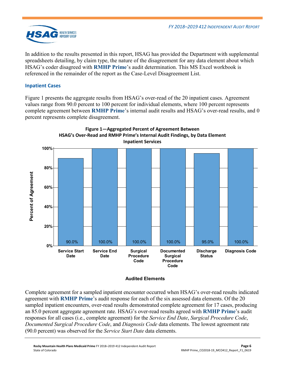

In addition to the results presented in this report, HSAG has provided the Department with supplemental spreadsheets detailing, by claim type, the nature of the disagreement for any data element about which HSAG's coder disagreed with **RMHP Prime**'s audit determination. This MS Excel workbook is referenced in the remainder of the report as the Case-Level Disagreement List.

### **Inpatient Cases**

[Figure 1](#page-7-0) presents the aggregate results from HSAG's over-read of the 20 inpatient cases. Agreement values range from 90.0 percent to 100 percent for individual elements, where 100 percent represents complete agreement between **RMHP Prime**'s internal audit results and HSAG's over-read results, and 0 percent represents complete disagreement.

<span id="page-7-0"></span>

### **Audited Elements**

Complete agreement for a sampled inpatient encounter occurred when HSAG's over-read results indicated agreement with **RMHP Prime**'s audit response for each of the six assessed data elements. Of the 20 sampled inpatient encounters, over-read results demonstrated complete agreement for 17 cases, producing an 85.0 percent aggregate agreement rate. HSAG's over-read results agreed with **RMHP Prime**'s audit responses for all cases (i.e., complete agreement) for the *Service End Date*, *Surgical Procedure Code*, *Documented Surgical Procedure Code*, and *Diagnosis Code* data elements. The lowest agreement rate (90.0 percent) was observed for the *Service Start Date* data elements.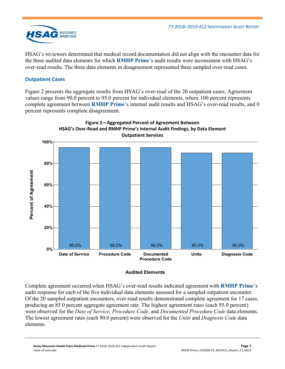

HSAG's reviewers determined that medical record documentation did not align with the encounter data for the three audited data elements for which **RMHP Prime**'s audit results were inconsistent with HSAG's over-read results. The three data elements in disagreement represented three sampled over-read cases.

### **Outpatient Cases**

[Figure 2](#page-8-0) presents the aggregate results from HSAG's over-read of the 20 outpatient cases. Agreement values range from 90.0 percent to 95.0 percent for individual elements, where 100 percent represents complete agreement between **RMHP Prime**'s internal audit results and HSAG's over-read results, and 0 percent represents complete disagreement.

<span id="page-8-0"></span>

# **Figure 2—Aggregated Percent of Agreement Between**

### **Audited Elements**

Complete agreement occurred when HSAG's over-read results indicated agreement with **RMHP Prime**'s audit response for each of the five individual data elements assessed for a sampled outpatient encounter. Of the 20 sampled outpatient encounters, over-read results demonstrated complete agreement for 17 cases, producing an 85.0 percent aggregate agreement rate. The highest agreement rates (each 95.0 percent) were observed for the *Date of Service*, *Procedure Code*, and *Documented Procedure Code* data elements. The lowest agreement rates (each 90.0 percent) were observed for the *Units* and *Diagnosis Code* data elements.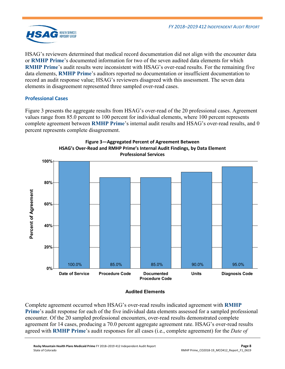

HSAG's reviewers determined that medical record documentation did not align with the encounter data or **RMHP Prime**'s documented information for two of the seven audited data elements for which **RMHP Prime's audit results were inconsistent with HSAG's over-read results. For the remaining five** data elements, **RMHP Prime**'s auditors reported no documentation or insufficient documentation to record an audit response value; HSAG's reviewers disagreed with this assessment. The seven data elements in disagreement represented three sampled over-read cases.

### **Professional Cases**

[Figure 3](#page-9-0) presents the aggregate results from HSAG's over-read of the 20 professional cases. Agreement values range from 85.0 percent to 100 percent for individual elements, where 100 percent represents complete agreement between **RMHP Prime**'s internal audit results and HSAG's over-read results, and 0 percent represents complete disagreement.

<span id="page-9-0"></span>



### **Audited Elements**

Complete agreement occurred when HSAG's over-read results indicated agreement with **RMHP Prime**'s audit response for each of the five individual data elements assessed for a sampled professional encounter. Of the 20 sampled professional encounters, over-read results demonstrated complete agreement for 14 cases, producing a 70.0 percent aggregate agreement rate. HSAG's over-read results agreed with **RMHP Prime**'s audit responses for all cases (i.e., complete agreement) for the *Date of*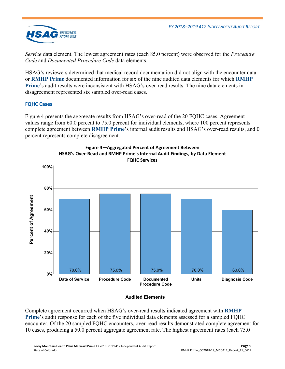

*Service* data element. The lowest agreement rates (each 85.0 percent) were observed for the *Procedure Code* and *Documented Procedure Code* data elements.

HSAG's reviewers determined that medical record documentation did not align with the encounter data or **RMHP Prime** documented information for six of the nine audited data elements for which **RMHP Prime**'s audit results were inconsistent with HSAG's over-read results. The nine data elements in disagreement represented six sampled over-read cases.

### **FQHC Cases**

[Figure 4](#page-10-0) presents the aggregate results from HSAG's over-read of the 20 FQHC cases. Agreement values range from 60.0 percent to 75.0 percent for individual elements, where 100 percent represents complete agreement between **RMHP Prime**'s internal audit results and HSAG's over-read results, and 0 percent represents complete disagreement.

<span id="page-10-0"></span>



### **Audited Elements**

Complete agreement occurred when HSAG's over-read results indicated agreement with **RMHP Prime**'s audit response for each of the five individual data elements assessed for a sampled FQHC encounter. Of the 20 sampled FQHC encounters, over-read results demonstrated complete agreement for 10 cases, producing a 50.0 percent aggregate agreement rate. The highest agreement rates (each 75.0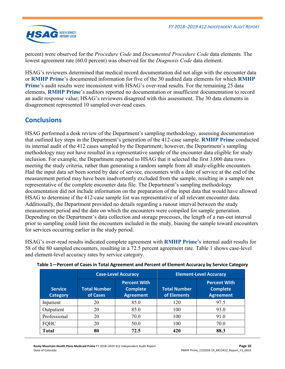

percent) were observed for the *Procedure Code* and *Documented Procedure Code* data elements*.* The lowest agreement rate (60.0 percent) was observed for the *Diagnosis Code* data element.

HSAG's reviewers determined that medical record documentation did not align with the encounter data or **RMHP Prime**'s documented information for five of the 30 audited data elements for which **RMHP Prime**'s audit results were inconsistent with HSAG's over-read results. For the remaining 25 data elements, **RMHP Prime**'s auditors reported no documentation or insufficient documentation to record an audit response value; HSAG's reviewers disagreed with this assessment. The 30 data elements in disagreement represented 10 sampled over-read cases.

## <span id="page-11-0"></span>**Conclusions**

HSAG performed a desk review of the Department's sampling methodology, assessing documentation that outlined key steps in the Department's generation of the 412-case sample. **RMHP Prime** conducted its internal audit of the 412 cases sampled by the Department; however, the Department's sampling methodology may not have resulted in a representative sample of the encounter data eligible for study inclusion. For example, the Department reported to HSAG that it selected the first 3,000 data rows meeting the study criteria, rather than generating a random sample from all study-eligible encounters. Had the input data set been sorted by date of service, encounters with a date of service at the end of the measurement period may have been inadvertently excluded from the sample, resulting in a sample not representative of the complete encounter data file. The Department's sampling methodology documentation did not include information on the preparation of the input data that would have allowed HSAG to determine if the 412-case sample list was representative of all relevant encounter data. Additionally, the Department provided no details regarding a runout interval between the study measurement period and the date on which the encounters were compiled for sample generation. Depending on the Department's data collection and storage processes, the length of a run-out interval prior to sampling could limit the encounters included in the study, biasing the sample toward encounters for services occurring earlier in the study period.

HSAG's over-read results indicated complete agreement with **RMHP Prime**'s internal audit results for 58 of the 80 sampled encounters, resulting in a 72.5 percent agreement rate. [Table 1](#page-11-1) shows case-level and element-level accuracy rates by service category.

|                                   |                                 | <b>Case-Level Accuracy</b>                                 | <b>Element-Level Accuracy</b>      |                                                            |  |
|-----------------------------------|---------------------------------|------------------------------------------------------------|------------------------------------|------------------------------------------------------------|--|
| <b>Service</b><br><b>Category</b> | <b>Total Number</b><br>of Cases | <b>Percent With</b><br><b>Complete</b><br><b>Agreement</b> | <b>Total Number</b><br>of Elements | <b>Percent With</b><br><b>Complete</b><br><b>Agreement</b> |  |
| Inpatient                         | 20                              | 85.0                                                       | 120                                | 97.5                                                       |  |
| Outpatient                        | 20                              | 85.0                                                       | 100                                | 93.0                                                       |  |
| Professional                      | 20                              | 70.0                                                       | 100                                | 91.0                                                       |  |
| FQHC                              | 20                              | 50.0                                                       | 100                                | 70.0                                                       |  |
| <b>Total</b>                      | 80                              | 72.5                                                       | 420                                | 88.3                                                       |  |

<span id="page-11-1"></span>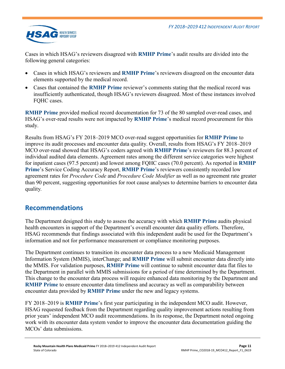

Cases in which HSAG's reviewers disagreed with **RMHP Prime**'s audit results are divided into the following general categories:

- Cases in which HSAG's reviewers and **RMHP Prime**'s reviewers disagreed on the encounter data elements supported by the medical record.
- Cases that contained the **RMHP Prime** reviewer's comments stating that the medical record was insufficiently authenticated, though HSAG's reviewers disagreed. Most of these instances involved FOHC cases.

**RMHP Prime** provided medical record documentation for 73 of the 80 sampled over-read cases, and HSAG's over-read results were not impacted by **RMHP Prime**'s medical record procurement for this study.

Results from HSAG's FY 2018–2019 MCO over-read suggest opportunities for **RMHP Prime** to improve its audit processes and encounter data quality. Overall, results from HSAG's FY 2018–2019 MCO over-read showed that HSAG's coders agreed with **RMHP Prime**'s reviewers for 88.3 percent of individual audited data elements. Agreement rates among the different service categories were highest for inpatient cases (97.5 percent) and lowest among FQHC cases (70.0 percent). As reported in **RMHP Prime**'s Service Coding Accuracy Report, **RMHP Prime**'s reviewers consistently recorded low agreement rates for *Procedure Code* and *Procedure Code Modifier* as well as no agreement rate greater than 90 percent, suggesting opportunities for root cause analyses to determine barriers to encounter data quality*.*

### <span id="page-12-0"></span>**Recommendations**

The Department designed this study to assess the accuracy with which **RMHP Prime** audits physical health encounters in support of the Department's overall encounter data quality efforts. Therefore, HSAG recommends that findings associated with this independent audit be used for the Department's information and not for performance measurement or compliance monitoring purposes.

The Department continues to transition its encounter data process to a new Medicaid Management Information System (MMIS), interChange; and **RMHP Prime** will submit encounter data directly into the MMIS. For validation purposes, **RMHP Prime** will continue to submit encounter data flat files to the Department in parallel with MMIS submissions for a period of time determined by the Department. This change to the encounter data process will require enhanced data monitoring by the Department and **RMHP Prime** to ensure encounter data timeliness and accuracy as well as comparability between encounter data provided by **RMHP Prime** under the new and legacy systems.

FY 2018–2019 is **RMHP Prime**'s first year participating in the independent MCO audit. However, HSAG requested feedback from the Department regarding quality improvement actions resulting from prior years' independent MCO audit recommendations. In its response, the Department noted ongoing work with its encounter data system vendor to improve the encounter data documentation guiding the MCOs' data submissions.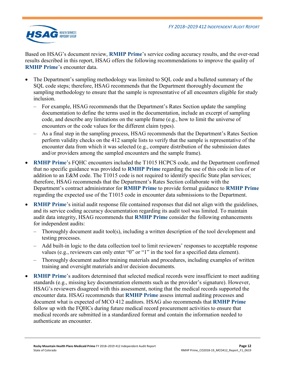

Based on HSAG's document review, **RMHP Prime**'s service coding accuracy results, and the over-read results described in this report, HSAG offers the following recommendations to improve the quality of **RMHP Prime**'s encounter data.

- The Department's sampling methodology was limited to SQL code and a bulleted summary of the SQL code steps; therefore, HSAG recommends that the Department thoroughly document the sampling methodology to ensure that the sample is representative of all encounters eligible for study inclusion.
	- For example, HSAG recommends that the Department's Rates Section update the sampling documentation to define the terms used in the documentation, include an excerpt of sampling code, and describe any limitations on the sample frame (e.g., how to limit the universe of encounters or the code values for the different claim types).
	- As a final step in the sampling process, HSAG recommends that the Department's Rates Section perform validity checks on the 412 sample lists to verify that the sample is representative of the encounter data from which it was selected (e.g., compare distribution of the submission dates and/or providers among the sampled encounters and the sample frame).
- **RMHP Prime**'s FQHC encounters included the T1015 HCPCS code, and the Department confirmed that no specific guidance was provided to **RMHP Prime** regarding the use of this code in lieu of or addition to an E&M code. The T1015 code is not required to identify specific State plan services; therefore, HSAG recommends that the Department's Rates Section collaborate with the Department's contract administrator for **RMHP Prime** to provide formal guidance to **RMHP Prime** regarding the expected use of the T1015 code in encounter data submissions to the Department.
- **RMHP Prime**'s initial audit response file contained responses that did not align with the guidelines, and its service coding accuracy documentation regarding its audit tool was limited. To maintain audit data integrity, HSAG recommends that **RMHP Prime** consider the following enhancements for independent audits:
	- Thoroughly document audit tool(s), including a written description of the tool development and testing processes.
	- Add built-in logic to the data collection tool to limit reviewers' responses to acceptable response values (e.g., reviewers can only enter "0" or "1" in the tool for a specified data element).
	- Thoroughly document auditor training materials and procedures, including examples of written training and oversight materials and/or decision documents.
- **RMHP Prime's auditors determined that selected medical records were insufficient to meet auditing** standards (e.g., missing key documentation elements such as the provider's signature). However, HSAG's reviewers disagreed with this assessment, noting that the medical records supported the encounter data. HSAG recommends that **RMHP Prime** assess internal auditing processes and document what is expected of MCO 412 auditors. HSAG also recommends that **RMHP Prime** follow up with the FQHCs during future medical record procurement activities to ensure that medical records are submitted in a standardized format and contain the information needed to authenticate an encounter.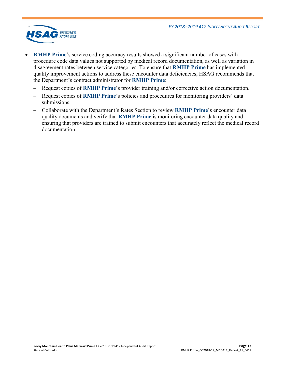

- **RMHP Prime**'s service coding accuracy results showed a significant number of cases with procedure code data values not supported by medical record documentation, as well as variation in disagreement rates between service categories. To ensure that **RMHP Prime** has implemented quality improvement actions to address these encounter data deficiencies, HSAG recommends that the Department's contract administrator for **RMHP Prime**:
	- Request copies of **RMHP Prime**'s provider training and/or corrective action documentation.
	- Request copies of **RMHP Prime**'s policies and procedures for monitoring providers' data submissions.
	- Collaborate with the Department's Rates Section to review **RMHP Prime**'s encounter data quality documents and verify that **RMHP Prime** is monitoring encounter data quality and ensuring that providers are trained to submit encounters that accurately reflect the medical record documentation.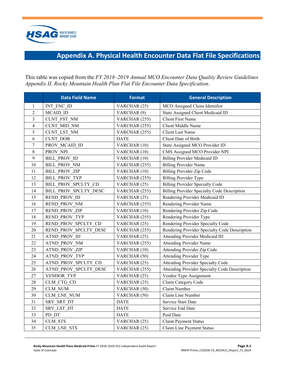

## **Appendix A. Physical Health Encounter Data Flat File Specifications**

<span id="page-15-0"></span>This table was copied from the *FY 2018–2019 Annual MCO Encounter Data Quality Review Guidelines Appendix II, Rocky Mountain Health Plan Flat File Encounter Data Specification*.

|              | <b>Data Field Name</b> | <b>Format</b> | <b>General Description</b>                    |
|--------------|------------------------|---------------|-----------------------------------------------|
| $\mathbf{1}$ | INT ENC ID             | VARCHAR (25)  | MCO Assigned Claim Identifier                 |
| 2            | MCAID ID               | VARCHAR (9)   | State Assigned Client Medicaid ID             |
| 3            | CLNT FST NM            | VARCHAR (255) | <b>Client First Name</b>                      |
| 4            | CLNT MID NM            | VARCHAR (255) | Client Middle Name                            |
| 5            | CLNT LST NM            | VARCHAR (255) | <b>Client Last Name</b>                       |
| 6            | <b>CLNT DOB</b>        | <b>DATE</b>   | Client Date of Birth                          |
| 7            | PROV MCAID ID          | VARCHAR (10)  | State Assigned MCO Provider ID                |
| 8            | PROV NPI               | VARCHAR (10)  | CMS Assigned MCO Provider NPI                 |
| 9            | <b>BILL PROV ID</b>    | VARCHAR (10)  | <b>Billing Provider Medicaid ID</b>           |
| 10           | <b>BILL PROV NM</b>    | VARCHAR (255) | <b>Billing Provider Name</b>                  |
| 11           | <b>BILL PROV ZIP</b>   | VARCHAR (10)  | <b>Billing Provider Zip Code</b>              |
| 12           | <b>BILL PROV TYP</b>   | VARCHAR (255) | <b>Billing Provider Type</b>                  |
| 13           | BILL PROV SPCLTY CD    | VARCHAR (25)  | <b>Billing Provider Specialty Code</b>        |
| 14           | BILL PROV SPCLTY DESC  | VARCHAR (255) | Billing Provider Specialty Code Description   |
| 15           | <b>REND PROV ID</b>    | VARCHAR (25)  | Rendering Provider Medicaid ID                |
| 16           | REND_PROV NM           | VARCHAR (255) | Rendering Provider Name                       |
| 17           | <b>REND PROV ZIP</b>   | VARCHAR (10)  | Rendering Provider Zip Code                   |
| 18           | REND PROV TYP          | VARCHAR (255) | Rendering Provider Type                       |
| 19           | REND PROV SPCLTY CD    | VARCHAR (25)  | Rendering Provider Specialty Code             |
| 20           | REND PROV SPCLTY DESC  | VARCHAR (255) | Rendering Provider Specialty Code Description |
| 21           | <b>ATND_PROV ID</b>    | VARCHAR (25)  | Attending Provider Medicaid ID                |
| 22           | <b>ATND PROV NM</b>    | VARCHAR (255) | <b>Attending Provider Name</b>                |
| 23           | <b>ATND PROV ZIP</b>   | VARCHAR (10)  | Attending Provider Zip Code                   |
| 24           | ATND PROV TYP          | VARCHAR (50)  | Attending Provider Type                       |
| 25           | ATND PROV SPCLTY CD    | VARCHAR (25)  | Attending Provider Specialty Code             |
| 26           | ATND PROV SPCLTY DESC  | VARCHAR (255) | Attending Provider Specialty Code Description |
| 27           | VENDOR TYP             | VARCHAR (25)  | Vendor Type Assignment                        |
| 28           | CLM CTG CD             | VARCHAR (25)  | Claim Category Code                           |
| 29           | CLM NUM                | VARCHAR (50)  | Claim Number                                  |
| 30           | CLM LNE NUM            | VARCHAR (50)  | Claim Line Number                             |
| 31           | SRV SRT DT             | <b>DATE</b>   | Service Start Date                            |
| 32           | SRV LST DT             | <b>DATE</b>   | Service End Date                              |
| 33           | PD DT                  | <b>DATE</b>   | Paid Date                                     |
| 34           | CLM STS                | VARCHAR (25)  | Claim Payment Status                          |
| 35           | CLM LNE STS            | VARCHAR (25)  | Claim Line Payment Status                     |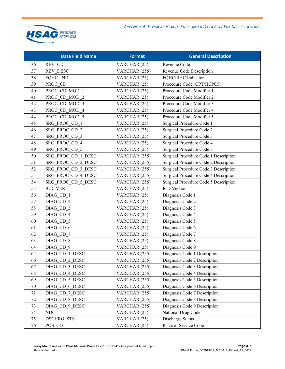

|    | <b>Data Field Name</b> | <b>Format</b> | <b>General Description</b>            |
|----|------------------------|---------------|---------------------------------------|
| 36 | REV CD                 | VARCHAR (25)  | Revenue Code                          |
| 37 | <b>REV DESC</b>        | VARCHAR (255) | Revenue Code Description              |
| 38 | FQHC IND               | VARCHAR (25)  | FQHC/RHC Indicator                    |
| 39 | PROC CD                | VARCHAR (25)  | Procedure Code (CPT/HCPCS)            |
| 40 | PROC CD MOD 1          | VARCHAR (25)  | Procedure Code Modifier 1             |
| 41 | PROC CD MOD 2          | VARCHAR (25)  | Procedure Code Modifier 2             |
| 42 | PROC CD MOD 3          | VARCHAR (25)  | Procedure Code Modifier 3             |
| 43 | PROC CD MOD 4          | VARCHAR (25)  | Procedure Code Modifier 4             |
| 44 | PROC CD MOD 5          | VARCHAR (25)  | Procedure Code Modifier 5             |
| 45 | SRG PROC CD 1          | VARCHAR (25)  | Surgical Procedure Code 1             |
| 46 | SRG PROC CD 2          | VARCHAR (25)  | Surgical Procedure Code 2             |
| 47 | SRG PROC CD 3          | VARCHAR (25)  | Surgical Procedure Code 3             |
| 48 | SRG PROC CD 4          | VARCHAR (25)  | Surgical Procedure Code 4             |
| 49 | SRG PROC CD 5          | VARCHAR (25)  | Surgical Procedure Code 5             |
| 50 | SRG PROC CD 1 DESC     | VARCHAR (255) | Surgical Procedure Code 1 Description |
| 51 | SRG PROC CD 2 DESC     | VARCHAR (255) | Surgical Procedure Code 2 Description |
| 52 | SRG PROC CD 3 DESC     | VARCHAR (255) | Surgical Procedure Code 3 Description |
| 53 | SRG PROC CD 4 DESC     | VARCHAR (255) | Surgical Procedure Code 4 Description |
| 54 | SRG PROC CD 5 DESC     | VARCHAR (255) | Surgical Procedure Code 5 Description |
| 55 | <b>ICD VER</b>         | VARCHAR (25)  | ICD Version                           |
| 56 | DIAG CD 1              | VARCHAR (25)  | Diagnosis Code 1                      |
| 57 | DIAG CD 2              | VARCHAR (25)  | Diagnosis Code 2                      |
| 58 | DIAG CD 3              | VARCHAR (25)  | Diagnosis Code 3                      |
| 59 | DIAG CD 4              | VARCHAR (25)  | Diagnosis Code 4                      |
| 60 | DIAG CD 5              | VARCHAR (25)  | Diagnosis Code 5                      |
| 61 | DIAG_CD 6              | VARCHAR (25)  | Diagnosis Code 6                      |
| 62 | DIAG CD 7              | VARCHAR (25)  | Diagnosis Code 7                      |
| 63 | DIAG CD 8              | VARCHAR (25)  | Diagnosis Code 8                      |
| 64 | DIAG_CD 9              | VARCHAR (25)  | Diagnosis Code 9                      |
| 65 | DIAG CD 1 DESC         | VARCHAR (255) | Diagnosis Code 1 Description          |
| 66 | DIAG CD 2 DESC         | VARCHAR (255) | Diagnosis Code 2 Description          |
| 67 | DIAG CD 3 DESC         | VARCHAR (255) | Diagnosis Code 3 Description          |
| 68 | DIAG CD 4 DESC         | VARCHAR (255) | Diagnosis Code 4 Description          |
| 69 | DIAG CD 5 DESC         | VARCHAR (255) | Diagnosis Code 5 Description          |
| 70 | DIAG CD 6 DESC         | VARCHAR (255) | Diagnosis Code 6 Description          |
| 71 | DIAG CD 7 DESC         | VARCHAR (255) | Diagnosis Code 7 Description          |
| 72 | DIAG CD 8 DESC         | VARCHAR (255) | Diagnosis Code 8 Description          |
| 73 | DIAG CD 9 DESC         | VARCHAR (255) | Diagnosis Code 9 Description          |
| 74 | $\rm NDC$              | VARCHAR (25)  | National Drug Code                    |
| 75 | <b>DSCHRG STS</b>      | VARCHAR (25)  | Discharge Status                      |
| 76 | POS CD                 | VARCHAR (25)  | Place of Service Code                 |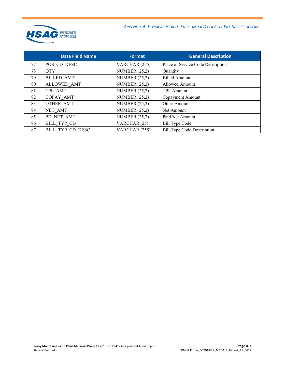

*APPENDIX A. PHYSICAL HEALTH ENCOUNTER DATA FLAT FILE SPECIFICATIONS*

|    | <b>Data Field Name</b> | Format          | <b>General Description</b>        |
|----|------------------------|-----------------|-----------------------------------|
| 77 | POS CD DESC            | VARCHAR (255)   | Place of Service Code Description |
| 78 | <b>QTY</b>             | NUMBER $(25,2)$ | Quantity                          |
| 79 | <b>BILLED AMT</b>      | NUMBER $(25,2)$ | <b>Billed Amount</b>              |
| 80 | ALLOWED AMT            | NUMBER $(25,2)$ | Allowed Amount                    |
| 81 | TPL AMT                | NUMBER $(25,2)$ | <b>TPL Amount</b>                 |
| 82 | COPAY AMT              | NUMBER $(25,2)$ | Copayment Amount                  |
| 83 | OTHER AMT              | NUMBER $(25,2)$ | Other Amount                      |
| 84 | NET AMT                | NUMBER $(25,2)$ | Net Amount                        |
| 85 | PD NET AMT             | NUMBER $(25,2)$ | Paid Net Amount                   |
| 86 | BILL TYP CD            | VARCHAR (25)    | <b>Bill Type Code</b>             |
| 87 | BILL TYP CD DESC       | VARCHAR (255)   | <b>Bill Type Code Description</b> |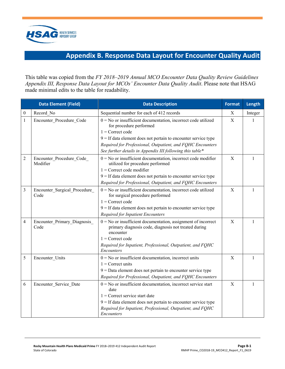

## **Appendix B. Response Data Layout for Encounter Quality Audit**

<span id="page-18-0"></span>This table was copied from the *FY 2018–2019 Annual MCO Encounter Data Quality Review Guidelines Appendix III, Response Data Layout for MCOs' Encounter Data Quality Audit*. Please note that HSAG made minimal edits to the table for readability.

|                  | <b>Data Element (Field)</b>           | <b>Data Description</b>                                                                                                                                                                                                                                              | <b>Format</b> | Length  |
|------------------|---------------------------------------|----------------------------------------------------------------------------------------------------------------------------------------------------------------------------------------------------------------------------------------------------------------------|---------------|---------|
| $\boldsymbol{0}$ | Record No                             | Sequential number for each of 412 records                                                                                                                                                                                                                            | Χ             | Integer |
| 1                | Encounter Procedure Code              | $0 = No$ or insufficient documentation, incorrect code utilized<br>for procedure performed<br>$1 =$ Correct code<br>$9 =$ If data element does not pertain to encounter service type<br>Required for Professional, Outpatient, and FQHC Encounters                   | X             | 1       |
|                  |                                       | See further details in Appendix III following this table*                                                                                                                                                                                                            |               |         |
| 2                | Encounter Procedure Code<br>Modifier  | $0 = No$ or insufficient documentation, incorrect code modifier<br>utilized for procedure performed<br>$1 =$ Correct code modifier<br>$9 =$ If data element does not pertain to encounter service type<br>Required for Professional, Outpatient, and FQHC Encounters | X             | 1       |
| 3                | Encounter_Surgical_Procedure_<br>Code | $0 = No$ or insufficient documentation, incorrect code utilized<br>for surgical procedure performed<br>$1 =$ Correct code<br>$9 =$ If data element does not pertain to encounter service type<br>Required for Inpatient Encounters                                   | X             | 1       |
| 4                | Encounter_Primary_Diagnosis_<br>Code  | $0 = No$ or insufficient documentation, assignment of incorrect<br>primary diagnosis code, diagnosis not treated during<br>encounter<br>$1 =$ Correct code<br>Required for Inpatient, Professional, Outpatient, and FQHC<br>Encounters                               | X             | 1       |
| 5                | Encounter Units                       | $0 = No$ or insufficient documentation, incorrect units<br>$1$ = Correct units<br>$9 =$ Data element does not pertain to encounter service type<br>Required for Professional, Outpatient, and FQHC Encounters                                                        | X             | 1       |
| 6                | Encounter_Service_Date                | $0 = No$ or insufficient documentation, incorrect service start<br>date<br>$1$ = Correct service start date<br>$9 =$ If data element does not pertain to encounter service type<br>Required for Inpatient, Professional, Outpatient, and FQHC<br><i>Encounters</i>   | $\mathbf X$   | 1       |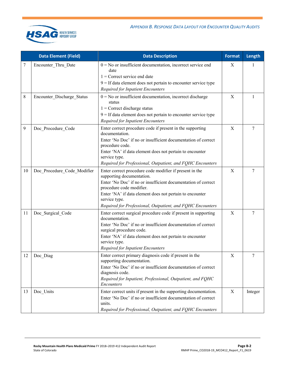

|    | <b>Data Element (Field)</b> | <b>Data Description</b>                                                                   | <b>Format</b> | Length  |
|----|-----------------------------|-------------------------------------------------------------------------------------------|---------------|---------|
| 7  | Encounter_Thru_Date         | $0 = No$ or insufficient documentation, incorrect service end<br>date                     | X             | 1       |
|    |                             | $1$ = Correct service end date                                                            |               |         |
|    |                             | $9 =$ If data element does not pertain to encounter service type                          |               |         |
|    |                             | Required for Inpatient Encounters                                                         |               |         |
| 8  | Encounter_Discharge_Status  | $0 = No$ or insufficient documentation, incorrect discharge<br>status                     | $\mathbf X$   | 1       |
|    |                             | $1$ = Correct discharge status                                                            |               |         |
|    |                             | $9 =$ If data element does not pertain to encounter service type                          |               |         |
|    |                             | Required for Inpatient Encounters                                                         |               |         |
| 9  | Doc_Procedure_Code          | Enter correct procedure code if present in the supporting<br>documentation.               | X             | 7       |
|    |                             | Enter 'No Doc' if no or insufficient documentation of correct<br>procedure code.          |               |         |
|    |                             | Enter 'NA' if data element does not pertain to encounter<br>service type.                 |               |         |
|    |                             | Required for Professional, Outpatient, and FQHC Encounters                                |               |         |
| 10 | Doc Procedure Code Modifier | Enter correct procedure code modifier if present in the<br>supporting documentation.      | $\mathbf X$   | 7       |
|    |                             | Enter 'No Doc' if no or insufficient documentation of correct<br>procedure code modifier. |               |         |
|    |                             | Enter 'NA' if data element does not pertain to encounter<br>service type.                 |               |         |
|    |                             | Required for Professional, Outpatient, and FQHC Encounters                                |               |         |
| 11 | Doc_Surgical_Code           | Enter correct surgical procedure code if present in supporting<br>documentation.          | $\mathbf X$   | 7       |
|    |                             | Enter 'No Doc' if no or insufficient documentation of correct<br>surgical procedure code. |               |         |
|    |                             | Enter 'NA' if data element does not pertain to encounter<br>service type.                 |               |         |
|    |                             | Required for Inpatient Encounters                                                         |               |         |
| 12 | Doc_Diag                    | Enter correct primary diagnosis code if present in the<br>supporting documentation.       | X             | 7       |
|    |                             | Enter 'No Doc' if no or insufficient documentation of correct<br>diagnosis code.          |               |         |
|    |                             | Required for Inpatient, Professional, Outpatient, and FQHC<br><b>Encounters</b>           |               |         |
| 13 | Doc_Units                   | Enter correct units if present in the supporting documentation.                           | $\mathbf X$   | Integer |
|    |                             | Enter 'No Doc' if no or insufficient documentation of correct<br>units.                   |               |         |
|    |                             | Required for Professional, Outpatient, and FQHC Encounters                                |               |         |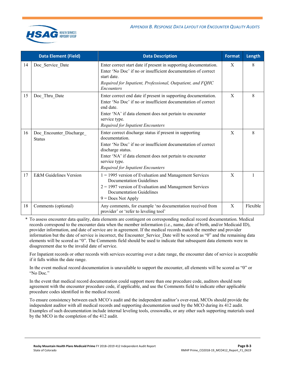|    | <b>Data Element (Field)</b>               | <b>Data Description</b>                                                                                                                                                                                                                                                                  | <b>Format</b> | Length   |
|----|-------------------------------------------|------------------------------------------------------------------------------------------------------------------------------------------------------------------------------------------------------------------------------------------------------------------------------------------|---------------|----------|
| 14 | Doc_Service_Date                          | Enter correct start date if present in supporting documentation.<br>Enter 'No Doc' if no or insufficient documentation of correct<br>start date.<br>Required for Inpatient, Professional, Outpatient, and FQHC<br>Encounters                                                             | X             | 8        |
| 15 | Doc Thru Date                             | Enter correct end date if present in supporting documentation.<br>Enter 'No Doc' if no or insufficient documentation of correct<br>end date.<br>Enter 'NA' if data element does not pertain to encounter<br>service type.<br><b>Required for Inpatient Encounters</b>                    | X             | 8        |
| 16 | Doc_Encounter_Discharge_<br><b>Status</b> | Enter correct discharge status if present in supporting<br>documentation.<br>Enter 'No Doc' if no or insufficient documentation of correct<br>discharge status.<br>Enter 'NA' if data element does not pertain to encounter<br>service type.<br><b>Required for Inpatient Encounters</b> | X             | 8        |
| 17 | E&M Guidelines Version                    | $1 = 1995$ version of Evaluation and Management Services<br><b>Documentation Guidelines</b><br>$2 = 1997$ version of Evaluation and Management Services<br>Documentation Guidelines<br>$9 = Does Not Apply$                                                                              | X             |          |
| 18 | Comments (optional)                       | Any comments, for example 'no documentation received from<br>provider' or 'refer to leveling tool'                                                                                                                                                                                       | X             | Flexible |

\* To assess encounter data quality, data elements are contingent on corresponding medical record documentation. Medical records correspond to the encounter data when the member information (i.e., name, date of birth, and/or Medicaid ID), provider information, and date of service are in agreement. If the medical records match the member and provider information but the date of service is incorrect, the Encounter Service Date will be scored as "0" and the remaining data elements will be scored as "0". The Comments field should be used to indicate that subsequent data elements were in disagreement due to the invalid date of service.

For Inpatient records or other records with services occurring over a date range, the encounter date of service is acceptable if it falls within the date range.

In the event medical record documentation is unavailable to support the encounter, all elements will be scored as "0" or "No Doc."

In the event that medical record documentation could support more than one procedure code, auditors should note agreement with the encounter procedure code, if applicable, and use the Comments field to indicate other applicable procedure codes identified in the medical record.

To ensure consistency between each MCO's audit and the independent auditor's over-read, MCOs should provide the independent auditor with all medical records and supporting documentation used by the MCO during its 412 audit. Examples of such documentation include internal leveling tools, crosswalks, or any other such supporting materials used by the MCO in the completion of the 412 audit.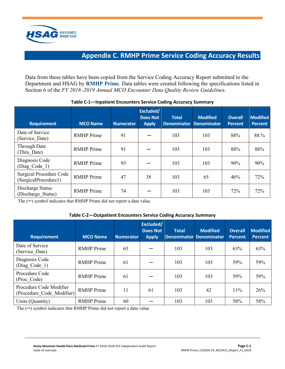

## **Appendix C. RMHP Prime Service Coding Accuracy Results**

<span id="page-21-0"></span>Data from these tables have been copied from the Service Coding Accuracy Report submitted to the Department and HSAG by **RMHP Prime**. Data tables were created following the specifications listed in Section 6 of the *FY 2018–2019 Annual MCO Encounter Data Quality Review Guidelines*.

| <b>Requirement</b>                                     | <b>MCO Name</b>   | <b>Numerator</b> | Excluded/<br><b>Does Not</b><br><b>Apply</b> | <b>Total</b><br><b>Denominator</b> | <b>Modified</b><br><b>Denominator</b> | <b>Overall</b><br><b>Percent</b> | <b>Modified</b><br><b>Percent</b> |
|--------------------------------------------------------|-------------------|------------------|----------------------------------------------|------------------------------------|---------------------------------------|----------------------------------|-----------------------------------|
| Date of Service<br>(Service Date)                      | <b>RMHP</b> Prime | 91               |                                              | 103                                | 103                                   | 88%                              | 88.%                              |
| Through Date<br>(Thru Date)                            | <b>RMHP</b> Prime | 91               |                                              | 103                                | 103                                   | 88%                              | 88%                               |
| Diagnosis Code<br>(Diag Code 1)                        | <b>RMHP</b> Prime | 93               |                                              | 103                                | 103                                   | 90%                              | 90%                               |
| <b>Surgical Procedure Code</b><br>(SurgicalProcedure1) | <b>RMHP</b> Prime | 47               | 38                                           | 103                                | 65                                    | 46%                              | 72%                               |
| Discharge Status<br>(Discharge Status)                 | <b>RMHP</b> Prime | 74               |                                              | 103                                | 103                                   | 72%                              | 72%                               |

#### **Table C-1—Inpatient Encounters Service Coding Accuracy Summary**

The (─) symbol indicates that RMHP Prime did not report a data value.

#### **Table C-2—Outpatient Encounters Service Coding Accuracy Summary**

| <b>Requirement</b>                                   | <b>MCO Name</b>   | <b>Numerator</b> | Excluded/<br><b>Does Not</b><br><b>Apply</b> | <b>Total</b><br><b>Denominator Denominator</b> | <b>Modified</b> | <b>Overall</b><br><b>Percent</b> | <b>Modified</b><br><b>Percent</b> |
|------------------------------------------------------|-------------------|------------------|----------------------------------------------|------------------------------------------------|-----------------|----------------------------------|-----------------------------------|
| Date of Service<br>(Service Date)                    | <b>RMHP</b> Prime | 65               |                                              | 103                                            | 103             | 63%                              | 63%                               |
| Diagnosis Code<br>(Diag Code 1)                      | <b>RMHP</b> Prime | 61               |                                              | 103                                            | 103             | 59%                              | 59%                               |
| Procedure Code<br>(Proc Code)                        | <b>RMHP</b> Prime | 61               |                                              | 103                                            | 103             | 59%                              | 59%                               |
| Procedure Code Modifier<br>(Procedure Code Modifier) | <b>RMHP</b> Prime | 11               | 61                                           | 103                                            | 42              | 11%                              | 26%                               |
| Units (Quantity)                                     | <b>RMHP</b> Prime | 60               |                                              | 103                                            | 103             | 58%                              | 58%                               |

The  $(-)$  symbol indicates that RMHP Prime did not report a data value.